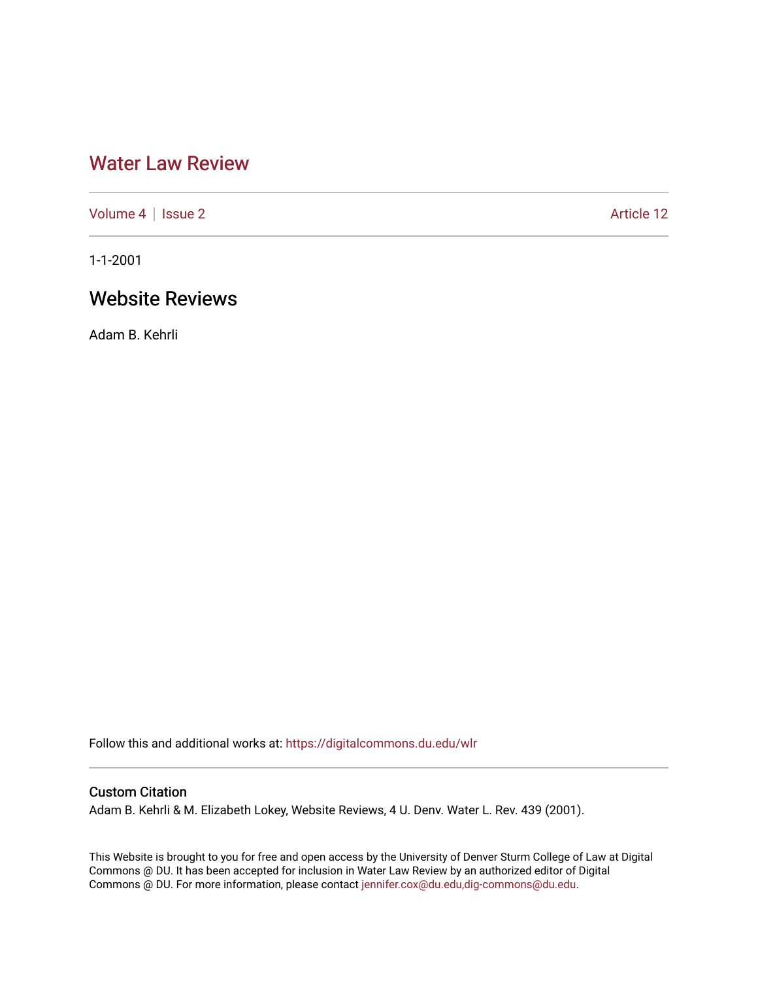# [Water Law Review](https://digitalcommons.du.edu/wlr)

[Volume 4](https://digitalcommons.du.edu/wlr/vol4) | [Issue 2](https://digitalcommons.du.edu/wlr/vol4/iss2) Article 12

1-1-2001

## Website Reviews

Adam B. Kehrli

Follow this and additional works at: [https://digitalcommons.du.edu/wlr](https://digitalcommons.du.edu/wlr?utm_source=digitalcommons.du.edu%2Fwlr%2Fvol4%2Fiss2%2F12&utm_medium=PDF&utm_campaign=PDFCoverPages) 

## Custom Citation

Adam B. Kehrli & M. Elizabeth Lokey, Website Reviews, 4 U. Denv. Water L. Rev. 439 (2001).

This Website is brought to you for free and open access by the University of Denver Sturm College of Law at Digital Commons @ DU. It has been accepted for inclusion in Water Law Review by an authorized editor of Digital Commons @ DU. For more information, please contact [jennifer.cox@du.edu,dig-commons@du.edu.](mailto:jennifer.cox@du.edu,dig-commons@du.edu)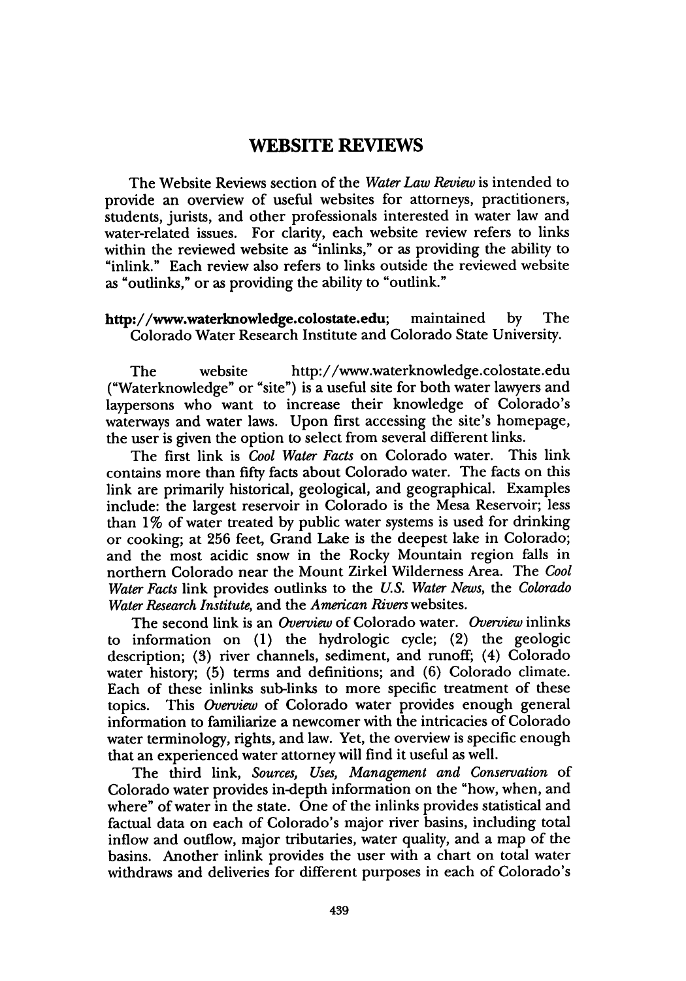### **WEBSITE REVIEWS**

The Website Reviews section of the *Water Law Review* is intended to provide an overview of useful websites for attorneys, practitioners, students, jurists, and other professionals interested in water law and water-related issues. For clarity, each website review refers to links within the reviewed website as "inlinks," or as providing the ability to "inlink." Each review also refers to links outside the reviewed website as "outlinks," or as providing the ability to "outlink."

### http://www.waterknowledge.colostate.edu; maintained by The Colorado Water Research Institute and Colorado State University.

The website http://www.waterknowledge.colostate.edu ("Waterknowledge" or "site") is a useful site for both water lawyers and laypersons who want to increase their knowledge of Colorado's waterways and water laws. Upon first accessing the site's homepage, the user is given the option to select from several different links.

The first link is *Cool Water Facts* on Colorado water. This link contains more than fifty facts about Colorado water. The facts on this link are primarily historical, geological, and geographical. Examples include: the largest reservoir in Colorado is the Mesa Reservoir; less than **1%** of water treated **by** public water systems is used for drinking or cooking; at **256** feet, Grand Lake is the deepest lake in Colorado; and the most acidic snow in the Rocky Mountain region falls in northern Colorado near the Mount Zirkel Wilderness Area. The *Cool Water Facts* link provides outlinks to the *U.S. Water News, the Colorado Water Research Institute,* and the *American Rivers* websites.

The second link is an *Overview* of Colorado water. *Overview* inlinks to information on (1) the hydrologic cycle; (2) the geologic description; (3) river channels, sediment, and runoff; (4) Colorado water history; (5) terms and definitions; and (6) Colorado climate. Each of these inlinks sub-links to more specific treatment of these topics. This *Overview* of Colorado water provides enough general information to familiarize a newcomer with the intricacies of Colorado water terminology, rights, and law. Yet, the overview is specific enough that an experienced water attorney will find it useful as well.

The third link, *Sources, Uses, Management and Conservation* of Colorado water provides in-depth information on the "how, when, and where" of water in the state. One of the inlinks provides statistical and factual data on each of Colorado's major river basins, including total inflow and outflow, major tributaries, water quality, and a map of the basins. Another inlink provides the user with a chart on total water withdraws and deliveries for different purposes in each of Colorado's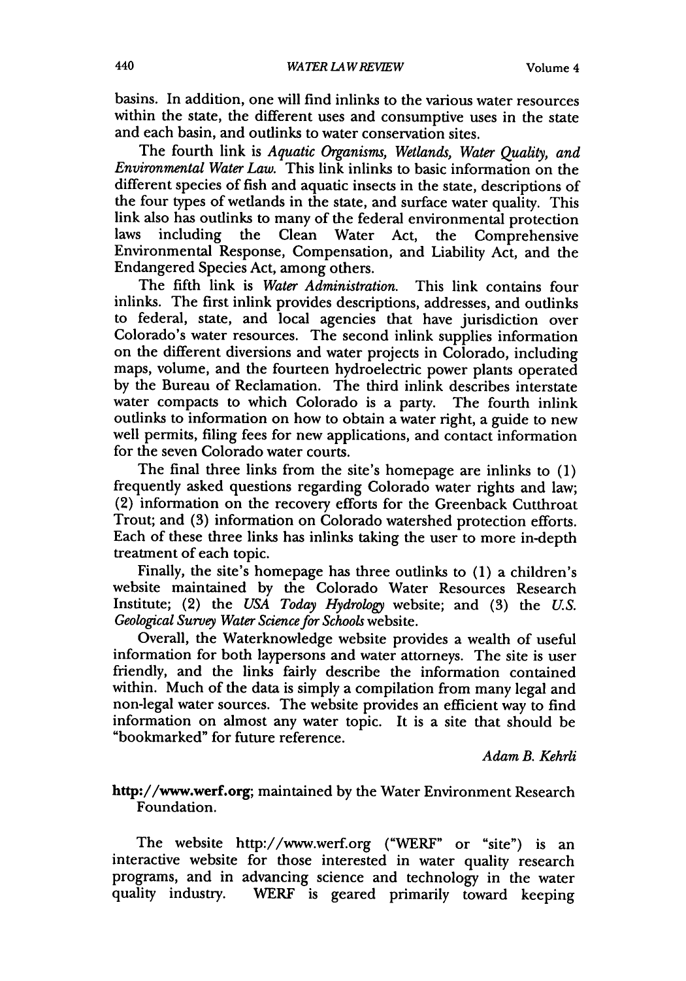basins. In addition, one will find inlinks to the various water resources within the state, the different uses and consumptive uses in the state and each basin, and outlinks to water conservation sites.

The fourth link is *Aquatic Organisms, Wetlands, Water Quality, and Environmental Water Law.* This link inlinks to basic information on the different species of fish and aquatic insects in the state, descriptions of the four types of wetlands in the state, and surface water quality. This link also has outlinks to many of the federal environmental protection laws including the Clean Water Act, the Comprehensive Environmental Response, Compensation, and Liability Act, and the Endangered Species Act, among others.

The fifth link is *Water Administration.* This link contains four inlinks. The first inlink provides descriptions, addresses, and oudinks to federal, state, and local agencies that have jurisdiction over Colorado's water resources. The second inlink supplies information on the different diversions and water projects in Colorado, including maps, volume, and the fourteen hydroelectric power plants operated by the Bureau of Reclamation. The third inlink describes interstate water compacts to which Colorado is a party. The fourth inlink outlinks to information on how to obtain a water right, a guide to new well permits, filing fees for new applications, and contact information for the seven Colorado water courts.

The final three links from the site's homepage are inlinks to (1) frequently asked questions regarding Colorado water rights and law; (2) information on the recovery efforts for the Greenback Cutthroat Trout; and (3) information on Colorado watershed protection efforts. Each of these three links has inlinks taking the user to more in-depth treatment of each topic.

Finally, the site's homepage has three outlinks to  $(1)$  a children's website maintained by the Colorado Water Resources Research Institute; (2) the *USA Today Hydrology* website; and (3) the *U.S. Geological Survey Water Science for Schools* website.

Overall, the Waterknowledge website provides a wealth of useful information for both laypersons and water attorneys. The site is user friendly, and the links fairly describe the information contained within. Much of the data is simply a compilation from many legal and non-legal water sources. The website provides an efficient way to find information on almost any water topic. It is a site that should be "bookmarked" for future reference.

*Adam B. Kehrli*

### http://www.werf.org; maintained by the Water Environment Research Foundation.

The website http://www.werf.org ("WERF" or "site") is an interactive website for those interested in water quality research programs, and in advancing science and technology in the water quality industry. WERF is geared primarily toward keeping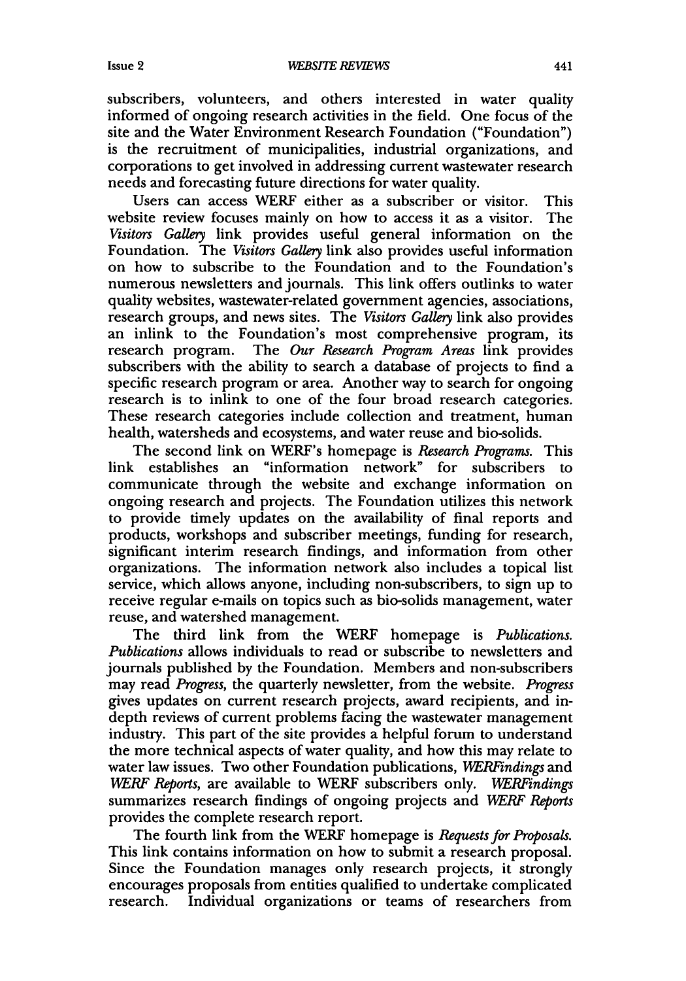subscribers, volunteers, and others interested in water quality informed of ongoing research activities in the field. One focus of the site and the Water Environment Research Foundation ("Foundation") is the recruitment of municipalities, industrial organizations, and corporations to get involved in addressing current wastewater research needs and forecasting future directions for water quality.

Users can access WERF either as a subscriber or visitor. This website review focuses mainly on how to access it as a visitor. The *Visitors Gallery* link provides useful general information on the Foundation. The *Visitors Gallery* link also provides useful information on how to subscribe to the Foundation and to the Foundation's numerous newsletters and journals. This link offers outlinks to water quality websites, wastewater-related government agencies, associations, research groups, and news sites. The *Visitors Gallery* link also provides an inlink to the Foundation's most comprehensive program, its research program. The *Our Research Program Areas* link provides subscribers with the ability to search a database of projects to find a specific research program or area. Another way to search for ongoing research is to inlink to one of the four broad research categories. These research categories include collection and treatment, human health, watersheds and ecosystems, and water reuse and bio-solids.

The second link on WERF's homepage is *Research Programs.* This link establishes an "information network" for subscribers to communicate through the website and exchange information on ongoing research and projects. The Foundation utilizes this network to provide timely updates on the availability of final reports and products, workshops and subscriber meetings, funding for research, significant interim research findings, and information from other organizations. The information network also includes a topical list service, which allows anyone, including non-subscribers, to sign up to receive regular e-mails on topics such as bio-solids management, water reuse, and watershed management.

The third link from the WERF homepage is *Publications. Publications* allows individuals to read or subscribe to newsletters and journals published **by** the Foundation. Members and non-subscribers may read *Progress,* the quarterly newsletter, from the website. *Progress* gives updates on current research projects, award recipients, and indepth reviews of current problems facing the wastewater management industry. This part of the site provides a helpful forum to understand the more technical aspects of water quality, and how this may relate to water law issues. Two other Foundation publications, *WERFindings* and *WERF Reports,* are available to WERF subscribers only. *WERFindings* summarizes research findings of ongoing projects and *WERF Reports* provides the complete research report.

The fourth link from the WERF homepage is *Requests for Proposals.* This link contains information on how to submit a research proposal. Since the Foundation manages only research projects, it strongly encourages proposals from entities qualified to undertake complicated research. Individual organizations or teams of researchers from